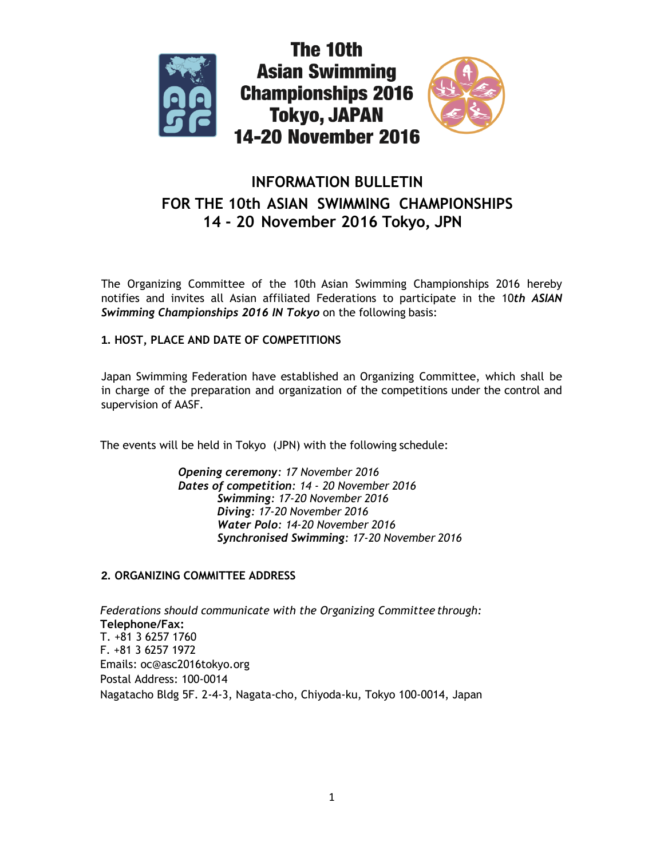



# **INFORMATION BULLETIN FOR THE 10th ASIAN SWIMMING CHAMPIONSHIPS 14 - 20 November 2016 Tokyo, JPN**

The Organizing Committee of the 10th Asian Swimming Championships 2016 hereby notifies and invites all Asian affiliated Federations to participate in the 10*th ASIAN Swimming Championships 2016 IN Tokyo* on the following basis:

# **1. HOST, PLACE AND DATE OF COMPETITIONS**

Japan Swimming Federation have established an Organizing Committee, which shall be in charge of the preparation and organization of the competitions under the control and supervision of AASF.

The events will be held in Tokyo (JPN) with the following schedule:

*Opening ceremony: 17 November 2016 Dates of competition: 14 - 20 November 2016 Swimming: 17-20 November 2016 Diving: 17-20 November 2016 Water Polo: 14-20 November 2016 Synchronised Swimming: 17-20 November 2016*

# **2. ORGANIZING COMMITTEE ADDRESS**

*Federations should communicate with the Organizing Committee through:* **Telephone/Fax:** T. +81 3 6257 1760 F. +81 3 6257 1972 Emails: oc@asc2016tokyo.org Postal Address: 100-0014 Nagatacho Bldg 5F. 2-4-3, Nagata-cho, Chiyoda-ku, Tokyo 100-0014, Japan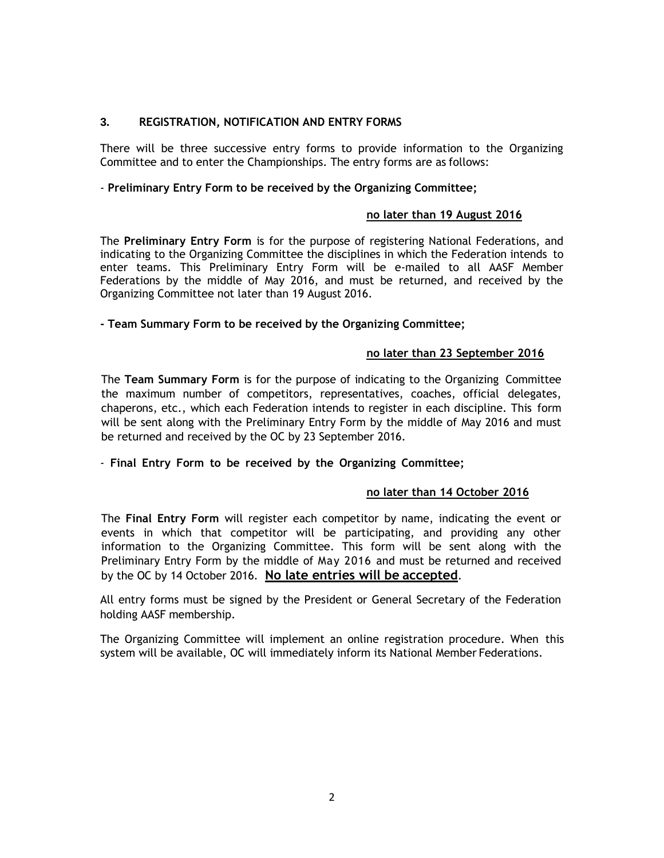# **3. REGISTRATION, NOTIFICATION AND ENTRY FORMS**

There will be three successive entry forms to provide information to the Organizing Committee and to enter the Championships. The entry forms are as follows:

#### - **Preliminary Entry Form to be received by the Organizing Committee;**

#### **no later than 19 August 2016**

The **Preliminary Entry Form** is for the purpose of registering National Federations, and indicating to the Organizing Committee the disciplines in which the Federation intends to enter teams. This Preliminary Entry Form will be e-mailed to all AASF Member Federations by the middle of May 2016, and must be returned, and received by the Organizing Committee not later than 19 August 2016.

#### **- Team Summary Form to be received by the Organizing Committee;**

#### **no later than 23 September 2016**

The **Team Summary Form** is for the purpose of indicating to the Organizing Committee the maximum number of competitors, representatives, coaches, official delegates, chaperons, etc., which each Federation intends to register in each discipline. This form will be sent along with the Preliminary Entry Form by the middle of May 2016 and must be returned and received by the OC by 23 September 2016.

### - **Final Entry Form to be received by the Organizing Committee;**

#### **no later than 14 October 2016**

The **Final Entry Form** will register each competitor by name, indicating the event or events in which that competitor will be participating, and providing any other information to the Organizing Committee. This form will be sent along with the Preliminary Entry Form by the middle of May 2016 and must be returned and received by the OC by 14 October 2016. **No late entries will be accepted**.

All entry forms must be signed by the President or General Secretary of the Federation holding AASF membership.

The Organizing Committee will implement an online registration procedure. When this system will be available, OC will immediately inform its National Member Federations.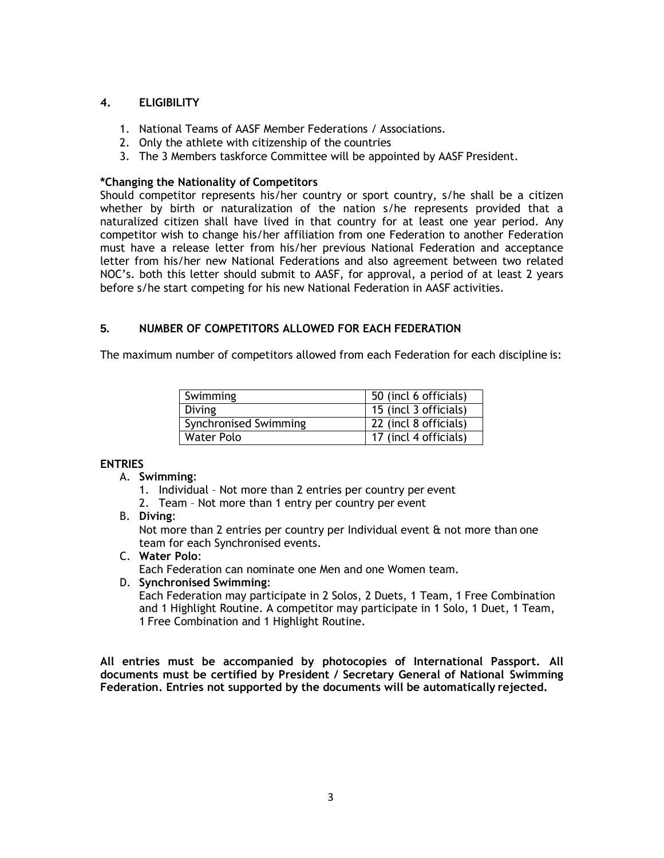#### **4. ELIGIBILITY**

- 1. National Teams of AASF Member Federations / Associations.
- 2. Only the athlete with citizenship of the countries
- 3. The 3 Members taskforce Committee will be appointed by AASF President.

### **\*Changing the Nationality of Competitors**

Should competitor represents his/her country or sport country, s/he shall be a citizen whether by birth or naturalization of the nation s/he represents provided that a naturalized citizen shall have lived in that country for at least one year period. Any competitor wish to change his/her affiliation from one Federation to another Federation must have a release letter from his/her previous National Federation and acceptance letter from his/her new National Federations and also agreement between two related NOC's. both this letter should submit to AASF, for approval, a period of at least 2 years before s/he start competing for his new National Federation in AASF activities.

# **5. NUMBER OF COMPETITORS ALLOWED FOR EACH FEDERATION**

The maximum number of competitors allowed from each Federation for each discipline is:

| Swimming              | 50 (incl 6 officials) |
|-----------------------|-----------------------|
| <b>Diving</b>         | 15 (incl 3 officials) |
| Synchronised Swimming | 22 (incl 8 officials) |
| <b>Water Polo</b>     | 17 (incl 4 officials) |

### **ENTRIES**

- A. **Swimming**:
	- 1. Individual Not more than 2 entries per country per event
	- 2. Team Not more than 1 entry per country per event
- B. **Diving**:

Not more than 2 entries per country per Individual event & not more than one team for each Synchronised events.

C. **Water Polo**:

Each Federation can nominate one Men and one Women team.

### D. **Synchronised Swimming**:

Each Federation may participate in 2 Solos, 2 Duets, 1 Team, 1 Free Combination and 1 Highlight Routine. A competitor may participate in 1 Solo, 1 Duet, 1 Team, 1 Free Combination and 1 Highlight Routine.

**All entries must be accompanied by photocopies of International Passport. All documents must be certified by President / Secretary General of National Swimming Federation. Entries not supported by the documents will be automatically rejected.**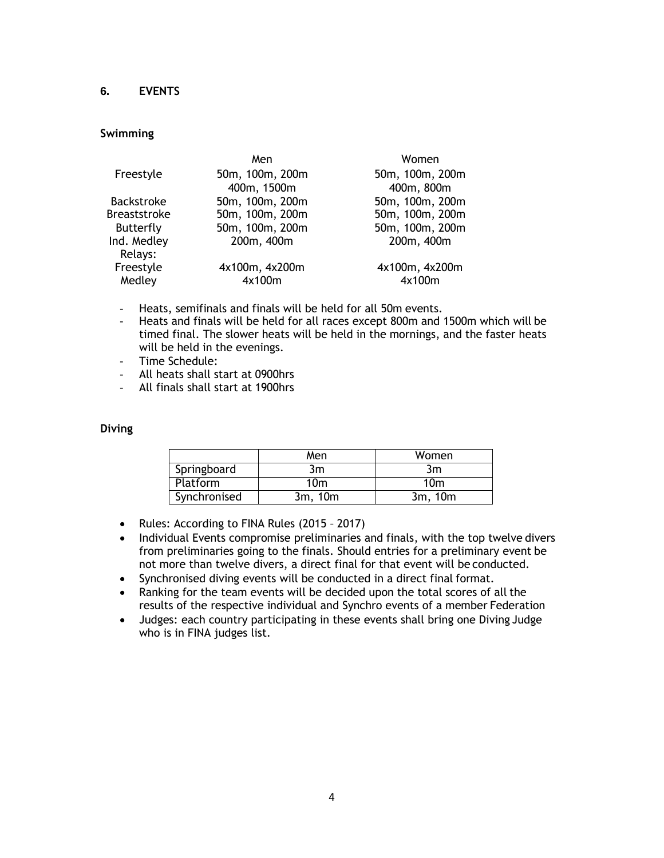# **6. EVENTS**

# **Swimming**

|                     | Men             | Women           |
|---------------------|-----------------|-----------------|
| Freestyle           | 50m, 100m, 200m | 50m, 100m, 200m |
|                     | 400m, 1500m     | 400m, 800m      |
| <b>Backstroke</b>   | 50m, 100m, 200m | 50m, 100m, 200m |
| <b>Breaststroke</b> | 50m, 100m, 200m | 50m, 100m, 200m |
| Butterfly           | 50m, 100m, 200m | 50m, 100m, 200m |
| Ind. Medley         | 200m, 400m      | 200m, 400m      |
| Relays:             |                 |                 |
| Freestyle           | 4x100m, 4x200m  | 4x100m, 4x200m  |
| Medley              | 4x100m          | 4x100m          |

- Heats, semifinals and finals will be held for all 50m events.
- Heats and finals will be held for all races except 800m and 1500m which will be timed final. The slower heats will be held in the mornings, and the faster heats will be held in the evenings.
- Time Schedule:
- All heats shall start at 0900hrs
- All finals shall start at 1900hrs

### **Diving**

|              | Men             | Women   |
|--------------|-----------------|---------|
| Springboard  | 3m              | 3m      |
| Platform     | 10 <sub>m</sub> | 10m     |
| Synchronised | 3m. 10m         | 3m, 10m |

- Rules: According to FINA Rules (2015 2017)
- Individual Events compromise preliminaries and finals, with the top twelve divers from preliminaries going to the finals. Should entries for a preliminary event be not more than twelve divers, a direct final for that event will be conducted.
- Synchronised diving events will be conducted in a direct final format.
- Ranking for the team events will be decided upon the total scores of all the results of the respective individual and Synchro events of a member Federation
- Judges: each country participating in these events shall bring one Diving Judge who is in FINA judges list.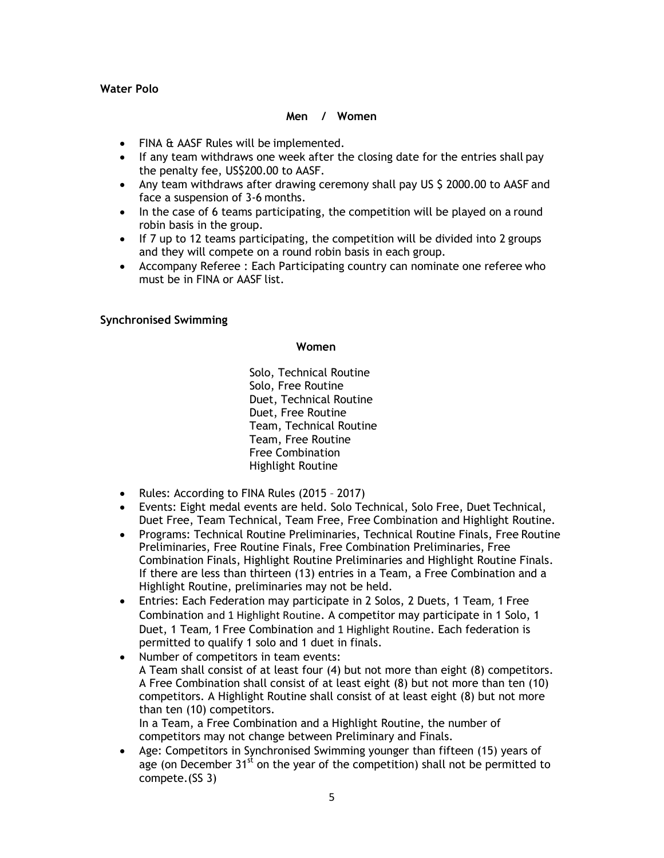# **Water Polo**

### **Men / Women**

- FINA & AASF Rules will be implemented.
- If any team withdraws one week after the closing date for the entries shall pay the penalty fee, US\$200.00 to AASF.
- Any team withdraws after drawing ceremony shall pay US \$ 2000.00 to AASF and face a suspension of 3-6 months.
- In the case of 6 teams participating, the competition will be played on a round robin basis in the group.
- $\bullet$  If 7 up to 12 teams participating, the competition will be divided into 2 groups and they will compete on a round robin basis in each group.
- Accompany Referee : Each Participating country can nominate one referee who must be in FINA or AASF list.

### **Synchronised Swimming**

#### **Women**

Solo, Technical Routine Solo, Free Routine Duet, Technical Routine Duet, Free Routine Team, Technical Routine Team, Free Routine Free Combination Highlight Routine

- Rules: According to FINA Rules (2015 2017)
- Events: Eight medal events are held. Solo Technical, Solo Free, Duet Technical, Duet Free, Team Technical, Team Free, Free Combination and Highlight Routine.
- Programs: Technical Routine Preliminaries, Technical Routine Finals, Free Routine Preliminaries, Free Routine Finals, Free Combination Preliminaries, Free Combination Finals, Highlight Routine Preliminaries and Highlight Routine Finals. If there are less than thirteen (13) entries in a Team, a Free Combination and a Highlight Routine, preliminaries may not be held.
- Entries: Each Federation may participate in 2 Solos, 2 Duets, 1 Team, 1 Free Combination and 1 Highlight Routine. A competitor may participate in 1 Solo, 1 Duet, 1 Team, 1 Free Combination and 1 Highlight Routine. Each federation is permitted to qualify 1 solo and 1 duet in finals.
- Number of competitors in team events: A Team shall consist of at least four (4) but not more than eight (8) competitors. A Free Combination shall consist of at least eight (8) but not more than ten (10) competitors. A Highlight Routine shall consist of at least eight (8) but not more than ten (10) competitors. In a Team, a Free Combination and a Highlight Routine, the number of

competitors may not change between Preliminary and Finals.

 Age: Competitors in Synchronised Swimming younger than fifteen (15) years of age (on December  $31<sup>st</sup>$  on the year of the competition) shall not be permitted to compete.(SS 3)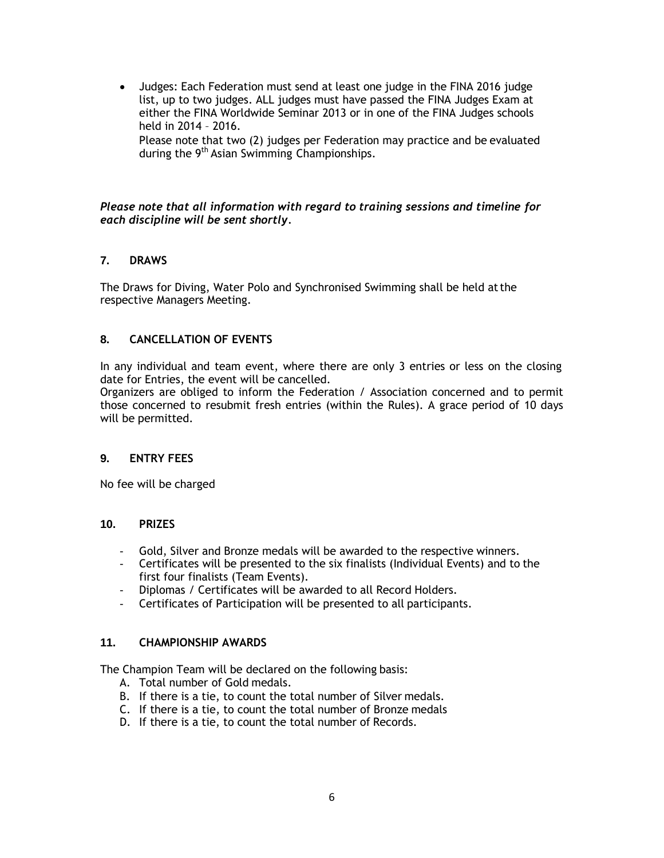Judges: Each Federation must send at least one judge in the FINA 2016 judge list, up to two judges. ALL judges must have passed the FINA Judges Exam at either the FINA Worldwide Seminar 2013 or in one of the FINA Judges schools held in 2014 – 2016.

Please note that two (2) judges per Federation may practice and be evaluated during the 9<sup>th</sup> Asian Swimming Championships.

### *Please note that all information with regard to training sessions and timeline for each discipline will be sent shortly.*

### **7. DRAWS**

The Draws for Diving, Water Polo and Synchronised Swimming shall be held atthe respective Managers Meeting.

# **8. CANCELLATION OF EVENTS**

In any individual and team event, where there are only 3 entries or less on the closing date for Entries, the event will be cancelled.

Organizers are obliged to inform the Federation / Association concerned and to permit those concerned to resubmit fresh entries (within the Rules). A grace period of 10 days will be permitted.

### **9. ENTRY FEES**

No fee will be charged

### **10. PRIZES**

- Gold, Silver and Bronze medals will be awarded to the respective winners.
- Certificates will be presented to the six finalists (Individual Events) and to the first four finalists (Team Events).
- Diplomas / Certificates will be awarded to all Record Holders.
- Certificates of Participation will be presented to all participants.

### **11. CHAMPIONSHIP AWARDS**

The Champion Team will be declared on the following basis:

- A. Total number of Gold medals.
- B. If there is a tie, to count the total number of Silver medals.
- C. If there is a tie, to count the total number of Bronze medals
- D. If there is a tie, to count the total number of Records.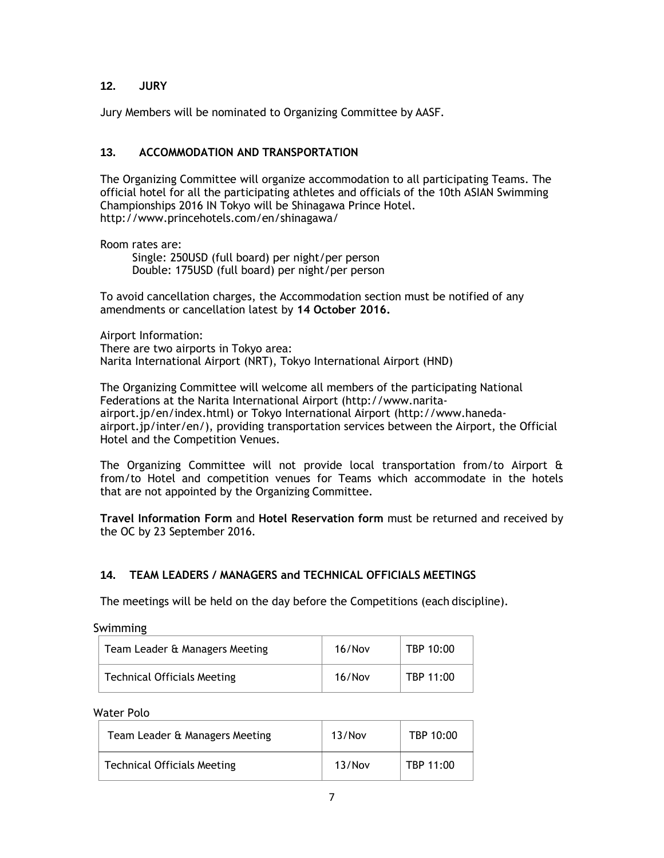# **12. JURY**

Jury Members will be nominated to Organizing Committee by AASF.

# **13. ACCOMMODATION AND TRANSPORTATION**

The Organizing Committee will organize accommodation to all participating Teams. The official hotel for all the participating athletes and officials of the 10th ASIAN Swimming Championships 2016 IN Tokyo will be Shinagawa Prince Hotel. http://www.princehotels.com/en/shinagawa/

Room rates are:

Single: 250USD (full board) per night/per person Double: 175USD (full board) per night/per person

To avoid cancellation charges, the Accommodation section must be notified of any amendments or cancellation latest by **14 October 2016.**

Airport Information: There are two airports in Tokyo area: Narita International Airport (NRT), Tokyo International Airport (HND)

The Organizing Committee will welcome all members of the participating National Federations at the Narita International Airport (http://www.naritaairport.jp/en/index.html) or Tokyo International Airport (http://www.hanedaairport.jp/inter/en/), providing transportation services between the Airport, the Official Hotel and the Competition Venues.

The Organizing Committee will not provide local transportation from/to Airport & from/to Hotel and competition venues for Teams which accommodate in the hotels that are not appointed by the Organizing Committee.

**Travel Information Form** and **Hotel Reservation form** must be returned and received by the OC by 23 September 2016.

# **14. TEAM LEADERS / MANAGERS and TECHNICAL OFFICIALS MEETINGS**

The meetings will be held on the day before the Competitions (each discipline).

Swimming

| Team Leader & Managers Meeting | 16/Nov | TBP 10:00 |
|--------------------------------|--------|-----------|
| Technical Officials Meeting    | 16/Nov | TBP 11:00 |

Water Polo

| Team Leader & Managers Meeting     | 13/Nov | TBP 10:00 |
|------------------------------------|--------|-----------|
| <b>Technical Officials Meeting</b> | 13/Nov | TBP 11:00 |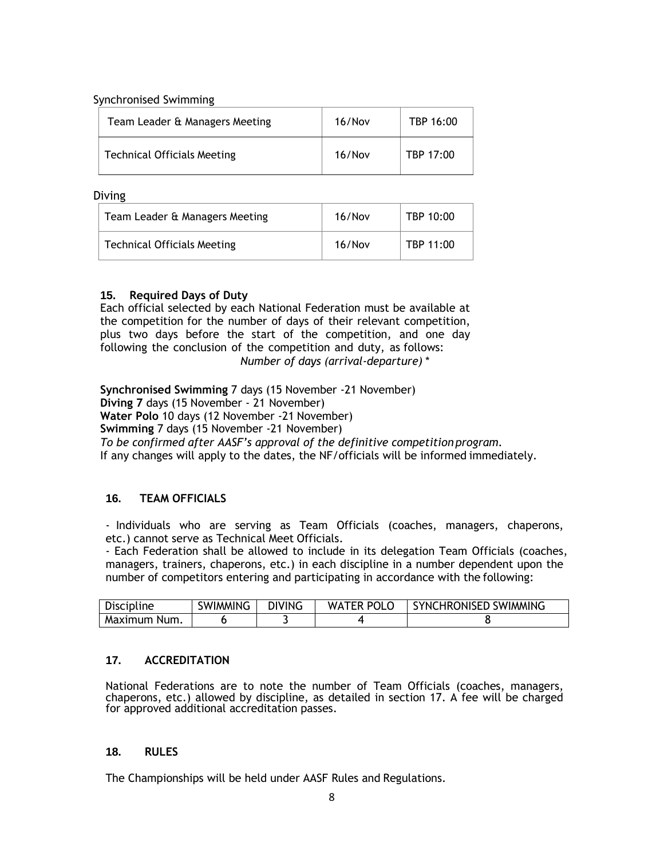Synchronised Swimming

| Team Leader & Managers Meeting | 16/Nov | TBP 16:00 |
|--------------------------------|--------|-----------|
| Technical Officials Meeting    | 16/Nov | TBP 17:00 |

Diving

| Team Leader & Managers Meeting     | 16/Nov | TBP 10:00 |
|------------------------------------|--------|-----------|
| <b>Technical Officials Meeting</b> | 16/Nov | TBP 11:00 |

# **15. Required Days of Duty**

Each official selected by each National Federation must be available at the competition for the number of days of their relevant competition, plus two days before the start of the competition, and one day following the conclusion of the competition and duty, as follows: *Number of days (arrival-departure) \**

**Synchronised Swimming** 7 days (15 November -21 November) **Diving 7** days (15 November - 21 November) **Water Polo** 10 days (12 November -21 November) **Swimming** 7 days (15 November -21 November) *To be confirmed after AASF's approval of the definitive competitionprogram.* If any changes will apply to the dates, the NF/officials will be informed immediately.

# **16. TEAM OFFICIALS**

- Individuals who are serving as Team Officials (coaches, managers, chaperons, etc.) cannot serve as Technical Meet Officials.

- Each Federation shall be allowed to include in its delegation Team Officials (coaches, managers, trainers, chaperons, etc.) in each discipline in a number dependent upon the number of competitors entering and participating in accordance with the following:

| <b>Discipline</b> | <b>SWIMMING</b> | <b>DIVING</b> | <b>WATER POLO</b> | <b>SYNCHRONISED SWIMMING</b> |
|-------------------|-----------------|---------------|-------------------|------------------------------|
| Maximum Num.      |                 |               |                   |                              |

# **17. ACCREDITATION**

National Federations are to note the number of Team Officials (coaches, managers, chaperons, etc.) allowed by discipline, as detailed in section 17. A fee will be charged for approved additional accreditation passes.

### **18. RULES**

The Championships will be held under AASF Rules and Regulations.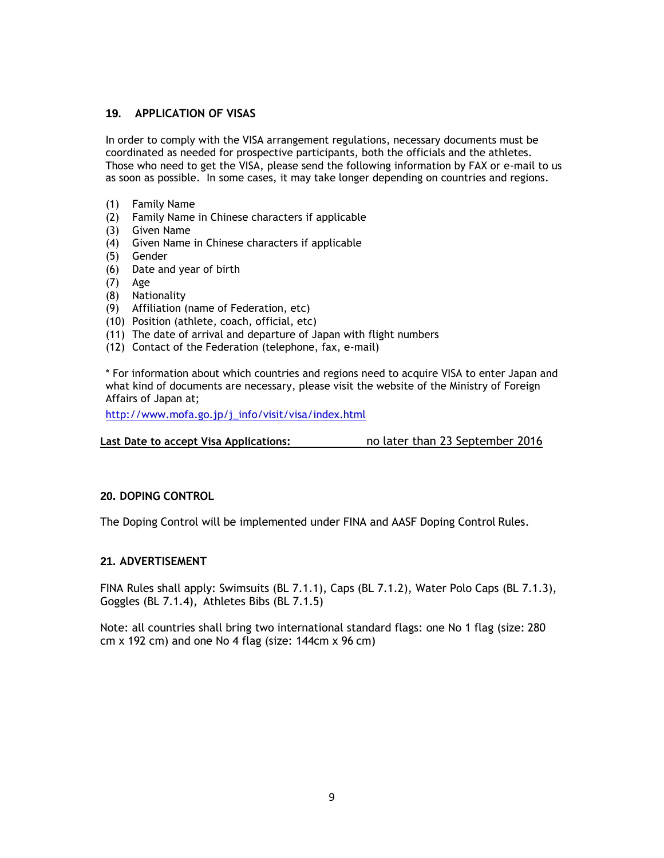### **19. APPLICATION OF VISAS**

In order to comply with the VISA arrangement regulations, necessary documents must be coordinated as needed for prospective participants, both the officials and the athletes. Those who need to get the VISA, please send the following information by FAX or e-mail to us as soon as possible. In some cases, it may take longer depending on countries and regions.

- (1) Family Name
- (2) Family Name in Chinese characters if applicable
- (3) Given Name
- (4) Given Name in Chinese characters if applicable
- (5) Gender
- (6) Date and year of birth
- (7) Age
- (8) Nationality
- (9) Affiliation (name of Federation, etc)
- (10) Position (athlete, coach, official, etc)
- (11) The date of arrival and departure of Japan with flight numbers
- (12) Contact of the Federation (telephone, fax, e-mail)

\* For information about which countries and regions need to acquire VISA to enter Japan and what kind of documents are necessary, please visit the website of the Ministry of Foreign Affairs of Japan at;

[http://www.mofa.go.jp/j\\_info/visit/visa/index.html](http://www.mofa.go.jp/j_info/visit/visa/index.html)

**Last Date to accept Visa Applications:** no later than 23 September 2016

### **20. DOPING CONTROL**

The Doping Control will be implemented under FINA and AASF Doping Control Rules.

#### **21. ADVERTISEMENT**

FINA Rules shall apply: Swimsuits (BL 7.1.1), Caps (BL 7.1.2), Water Polo Caps (BL 7.1.3), Goggles (BL 7.1.4), Athletes Bibs (BL 7.1.5)

Note: all countries shall bring two international standard flags: one No 1 flag (size: 280 cm  $x$  192 cm) and one No 4 flag (size: 144cm  $x$  96 cm)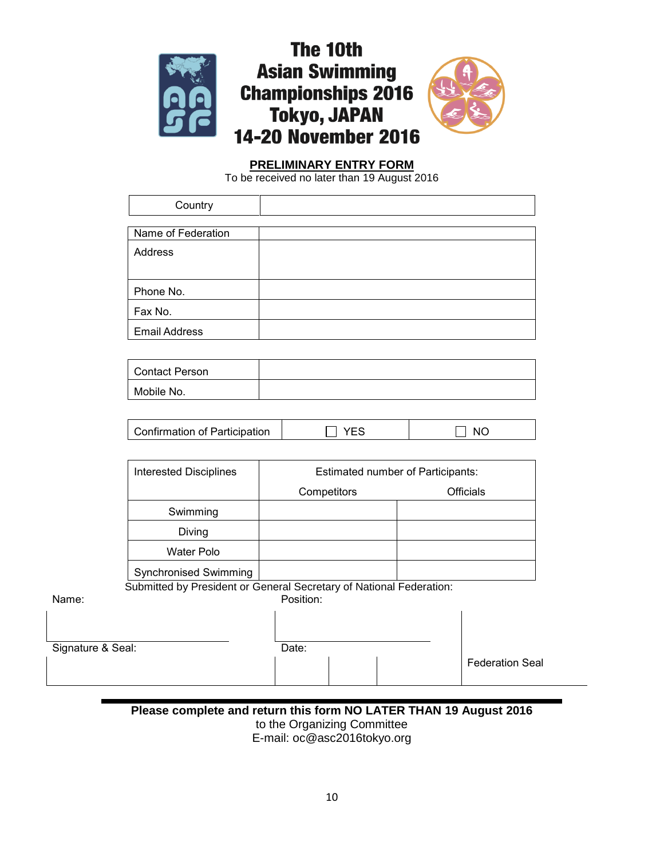

# The 10th **Asian Swimming Championships 2016 Tokyo, JAPAN 14-20 November 2016**



# **PRELIMINARY ENTRY FORM**

To be received no later than 19 August 2016

|                   | Country                                                             |             |            |                                          |                        |
|-------------------|---------------------------------------------------------------------|-------------|------------|------------------------------------------|------------------------|
|                   |                                                                     |             |            |                                          |                        |
|                   | Name of Federation                                                  |             |            |                                          |                        |
|                   | <b>Address</b>                                                      |             |            |                                          |                        |
|                   | Phone No.                                                           |             |            |                                          |                        |
|                   | Fax No.                                                             |             |            |                                          |                        |
|                   | <b>Email Address</b>                                                |             |            |                                          |                        |
|                   |                                                                     |             |            |                                          |                        |
|                   | <b>Contact Person</b>                                               |             |            |                                          |                        |
|                   | Mobile No.                                                          |             |            |                                          |                        |
|                   |                                                                     |             |            |                                          |                        |
|                   | Confirmation of Participation                                       |             | <b>YES</b> |                                          | <b>NO</b>              |
|                   |                                                                     |             |            |                                          |                        |
|                   | <b>Interested Disciplines</b>                                       |             |            | <b>Estimated number of Participants:</b> |                        |
|                   |                                                                     | Competitors |            |                                          | <b>Officials</b>       |
|                   | Swimming                                                            |             |            |                                          |                        |
|                   | Diving                                                              |             |            |                                          |                        |
|                   | <b>Water Polo</b>                                                   |             |            |                                          |                        |
|                   | <b>Synchronised Swimming</b>                                        |             |            |                                          |                        |
| Name:             | Submitted by President or General Secretary of National Federation: | Position:   |            |                                          |                        |
|                   |                                                                     |             |            |                                          |                        |
|                   |                                                                     |             |            |                                          |                        |
| Signature & Seal: |                                                                     | Date:       |            |                                          |                        |
|                   |                                                                     |             |            |                                          | <b>Federation Seal</b> |

# **Please complete and return this form NO LATER THAN 19 August 2016** to the Organizing Committee E-mail: oc@asc2016tokyo.org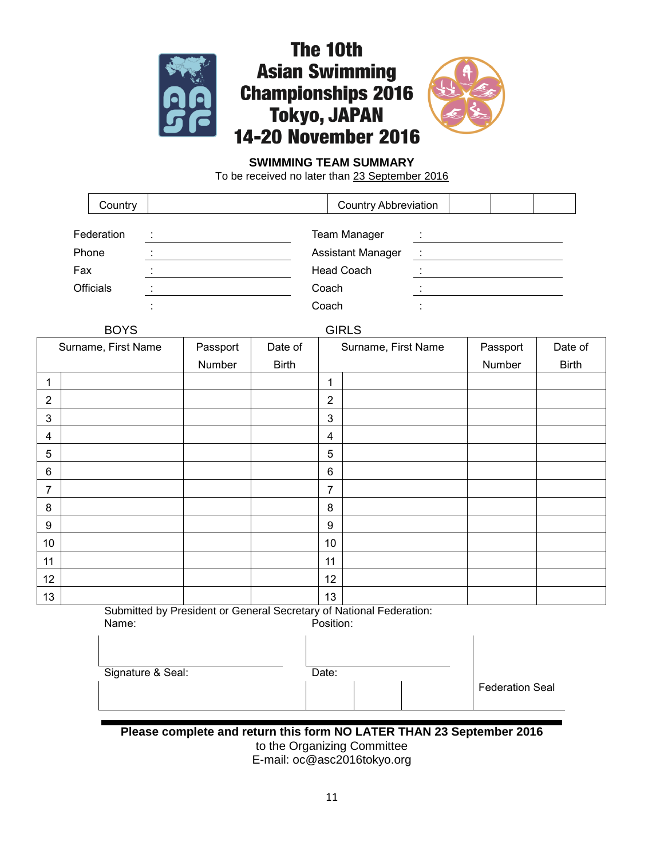



# **SWIMMING TEAM SUMMARY**

To be received no later than 23 September 2016

|     | Country          | <b>Country Abbreviation</b> |  |  |  |  |
|-----|------------------|-----------------------------|--|--|--|--|
|     | Federation       | <b>Team Manager</b>         |  |  |  |  |
|     | Phone            | <b>Assistant Manager</b>    |  |  |  |  |
| Fax |                  | <b>Head Coach</b>           |  |  |  |  |
|     | <b>Officials</b> | Coach                       |  |  |  |  |
|     |                  | Coach                       |  |  |  |  |

| <b>BOYS</b>         |          |              |                | <b>GIRLS</b>        |          |              |  |  |
|---------------------|----------|--------------|----------------|---------------------|----------|--------------|--|--|
| Surname, First Name | Passport | Date of      |                | Surname, First Name | Passport | Date of      |  |  |
|                     | Number   | <b>Birth</b> |                |                     | Number   | <b>Birth</b> |  |  |
| 1                   |          |              | 1              |                     |          |              |  |  |
| $\overline{2}$      |          |              | $\overline{2}$ |                     |          |              |  |  |
| $\mathsf 3$         |          |              | $\mathbf{3}$   |                     |          |              |  |  |
| 4                   |          |              | $\overline{4}$ |                     |          |              |  |  |
| $\sqrt{5}$          |          |              | $\sqrt{5}$     |                     |          |              |  |  |
| 6                   |          |              | $6\phantom{1}$ |                     |          |              |  |  |
| $\overline{7}$      |          |              | 7              |                     |          |              |  |  |
| 8                   |          |              | 8              |                     |          |              |  |  |
| 9                   |          |              | 9              |                     |          |              |  |  |
| 10 <sub>1</sub>     |          |              | 10             |                     |          |              |  |  |
| 11                  |          |              | 11             |                     |          |              |  |  |
| 12                  |          |              | 12             |                     |          |              |  |  |
| 13                  |          |              | 13             |                     |          |              |  |  |

Submitted by President or General Secretary of National Federation: Name: Position:

| Signature & Seal: | Date: |  |                        |
|-------------------|-------|--|------------------------|
|                   |       |  | <b>Federation Seal</b> |

**Please complete and return this form NO LATER THAN 23 September 2016** to the Organizing Committee E-mail: oc@asc2016tokyo.org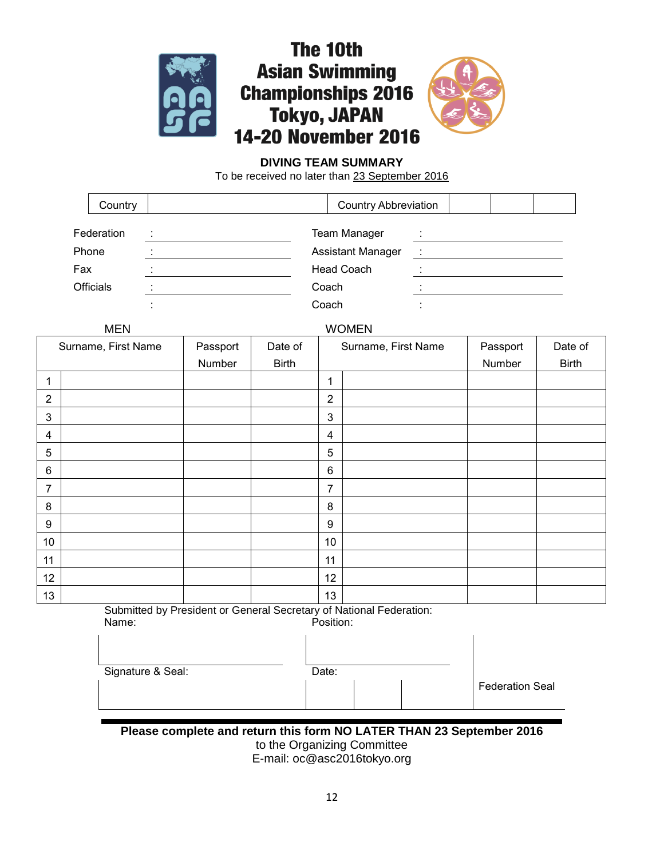



# **DIVING TEAM SUMMARY**

To be received no later than 23 September 2016

|     | Country          |       | <b>Country Abbreviation</b> |     |
|-----|------------------|-------|-----------------------------|-----|
|     |                  |       |                             |     |
|     | Federation       |       | <b>Team Manager</b>         |     |
|     | <b>Phone</b>     |       | <b>Assistant Manager</b>    | - 1 |
| Fax |                  |       | <b>Head Coach</b>           |     |
|     | <b>Officials</b> |       | Coach                       |     |
|     |                  | Coach |                             |     |

### MEN WOMEN

| <u><b>IVIL IV</b></u> |          |              | $\cdots$       |                     |          |              |  |  |  |  |
|-----------------------|----------|--------------|----------------|---------------------|----------|--------------|--|--|--|--|
| Surname, First Name   | Passport | Date of      |                | Surname, First Name | Passport | Date of      |  |  |  |  |
|                       | Number   | <b>Birth</b> |                |                     | Number   | <b>Birth</b> |  |  |  |  |
| 1                     |          |              | 1              |                     |          |              |  |  |  |  |
| $\mathbf{2}$          |          |              | $\overline{2}$ |                     |          |              |  |  |  |  |
| $\mathsf 3$           |          |              | 3              |                     |          |              |  |  |  |  |
| $\overline{4}$        |          |              | 4              |                     |          |              |  |  |  |  |
| $\sqrt{5}$            |          |              | $\sqrt{5}$     |                     |          |              |  |  |  |  |
| 6                     |          |              | 6              |                     |          |              |  |  |  |  |
| $\overline{7}$        |          |              | $\overline{7}$ |                     |          |              |  |  |  |  |
| 8                     |          |              | 8              |                     |          |              |  |  |  |  |
| 9                     |          |              | 9              |                     |          |              |  |  |  |  |
| 10 <sub>1</sub>       |          |              | $10$           |                     |          |              |  |  |  |  |
| 11                    |          |              | 11             |                     |          |              |  |  |  |  |
| 12                    |          |              | 12             |                     |          |              |  |  |  |  |
| 13                    |          |              | 13             |                     |          |              |  |  |  |  |

Submitted by President or General Secretary of National Federation: Name: Position:

| Signature & Seal: | Date: |                        |
|-------------------|-------|------------------------|
|                   |       | <b>Federation Seal</b> |

**Please complete and return this form NO LATER THAN 23 September 2016** to the Organizing Committee

E-mail: oc@asc2016tokyo.org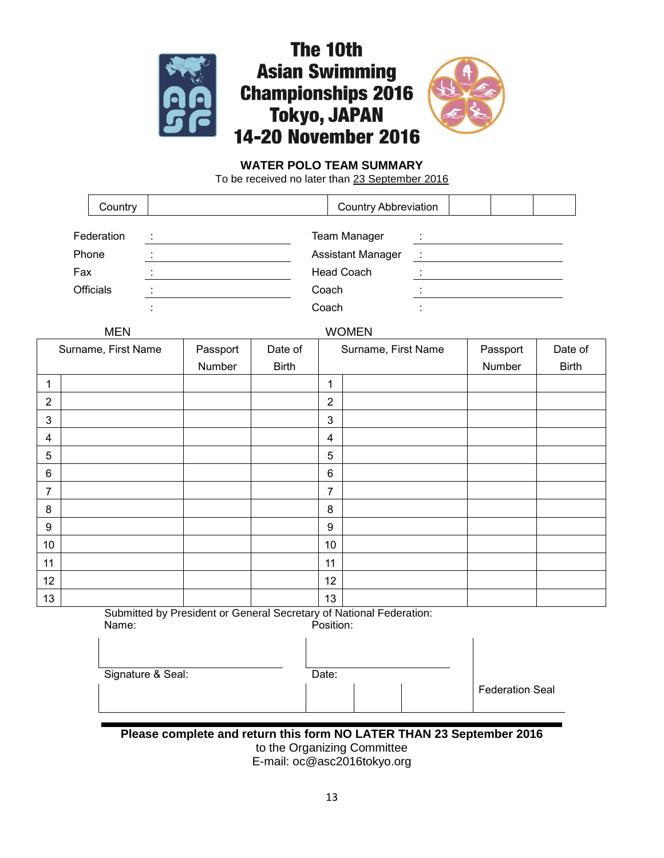



# **WATER POLO TEAM SUMMARY**

The 10th

To be received no later than 23 September 2016

| Country    | <b>Country Abbreviation</b> |   |
|------------|-----------------------------|---|
| Federation | <b>Team Manager</b>         |   |
| Phone      | <b>Assistant Manager</b>    | ÷ |
| Fax        | <b>Head Coach</b>           |   |
| Officials  | Coach                       |   |
|            | Coach                       |   |

MEN WOMEN

| $111 - 13$          |          |              | $\sqrt{2101}$  |                     |          |              |  |  |  |  |
|---------------------|----------|--------------|----------------|---------------------|----------|--------------|--|--|--|--|
| Surname, First Name | Passport | Date of      |                | Surname, First Name | Passport | Date of      |  |  |  |  |
|                     | Number   | <b>Birth</b> |                |                     | Number   | <b>Birth</b> |  |  |  |  |
| 1                   |          |              | 1              |                     |          |              |  |  |  |  |
| $\mathbf{2}$        |          |              | $\overline{2}$ |                     |          |              |  |  |  |  |
| 3                   |          |              | $\mathfrak{3}$ |                     |          |              |  |  |  |  |
| 4                   |          |              | $\overline{4}$ |                     |          |              |  |  |  |  |
| 5                   |          |              | 5              |                     |          |              |  |  |  |  |
| 6                   |          |              | $\,6$          |                     |          |              |  |  |  |  |
| $\overline{7}$      |          |              | 7              |                     |          |              |  |  |  |  |
| 8                   |          |              | 8              |                     |          |              |  |  |  |  |
| 9                   |          |              | 9              |                     |          |              |  |  |  |  |
| 10 <sub>1</sub>     |          |              | 10             |                     |          |              |  |  |  |  |
| 11                  |          |              | 11             |                     |          |              |  |  |  |  |
| $12 \overline{ }$   |          |              | 12             |                     |          |              |  |  |  |  |
| 13                  |          |              | 13             |                     |          |              |  |  |  |  |

Submitted by President or General Secretary of National Federation:<br>Name: Position: Position:

Signature & Seal: Date:

Federation Seal

**Please complete and return this form NO LATER THAN 23 September 2016** to the Organizing Committee E-mail: oc@asc2016tokyo.org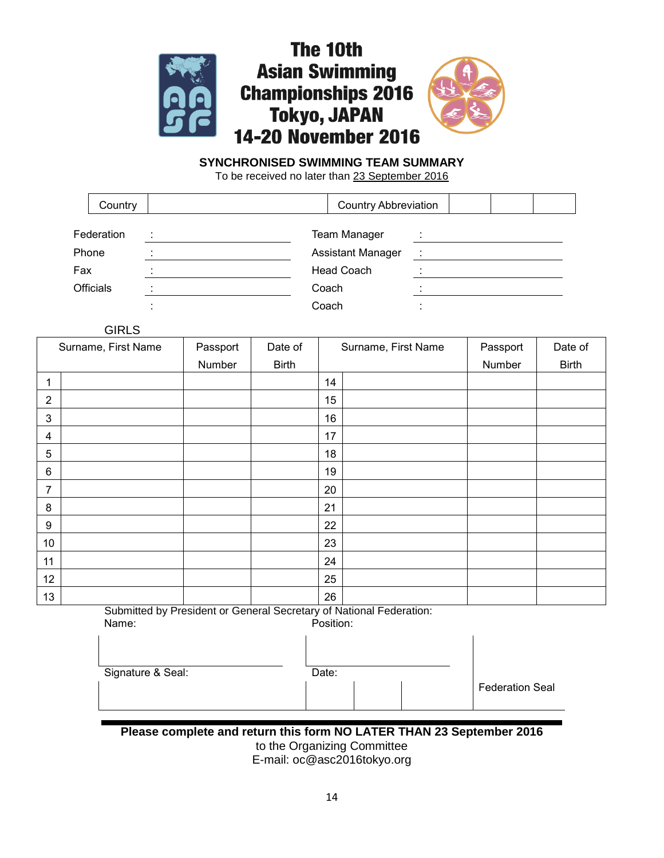





# **SYNCHRONISED SWIMMING TEAM SUMMARY**

To be received no later than 23 September 2016

|                  | Country    | <b>Country Abbreviation</b> |   |  |  |  |  |
|------------------|------------|-----------------------------|---|--|--|--|--|
|                  | Federation | <b>Team Manager</b>         |   |  |  |  |  |
| Phone            |            | <b>Assistant Manager</b>    | ÷ |  |  |  |  |
| Fax              |            | <b>Head Coach</b>           |   |  |  |  |  |
| <b>Officials</b> |            | Coach                       |   |  |  |  |  |
|                  |            | Coach                       |   |  |  |  |  |

**GIRLS** 

| Surname, First Name     | Passport | Date of      | Surname, First Name | Passport | Date of      |
|-------------------------|----------|--------------|---------------------|----------|--------------|
|                         | Number   | <b>Birth</b> |                     | Number   | <b>Birth</b> |
| 1                       |          |              | 14                  |          |              |
| $\overline{2}$          |          |              | 15                  |          |              |
| $\mathbf{3}$            |          |              | 16                  |          |              |
| $\overline{\mathbf{4}}$ |          |              | 17                  |          |              |
| $\sqrt{5}$              |          |              | 18                  |          |              |
| $\,6$                   |          |              | 19                  |          |              |
| $\overline{7}$          |          |              | 20                  |          |              |
| 8                       |          |              | 21                  |          |              |
| 9                       |          |              | 22                  |          |              |
| 10                      |          |              | 23                  |          |              |
| 11                      |          |              | 24                  |          |              |
| 12                      |          |              | 25                  |          |              |
| 13                      |          |              | 26                  |          |              |

Submitted by President or General Secretary of National Federation:<br>
Name: Position: Position Name:

| 1901 I IV.        | ו יוטווניט. |                        |  |  |  |  |  |  |  |
|-------------------|-------------|------------------------|--|--|--|--|--|--|--|
| Signature & Seal: | Date:       |                        |  |  |  |  |  |  |  |
|                   |             | <b>Federation Seal</b> |  |  |  |  |  |  |  |

**Please complete and return this form NO LATER THAN 23 September 2016** to the Organizing Committee E-mail: oc@asc2016tokyo.org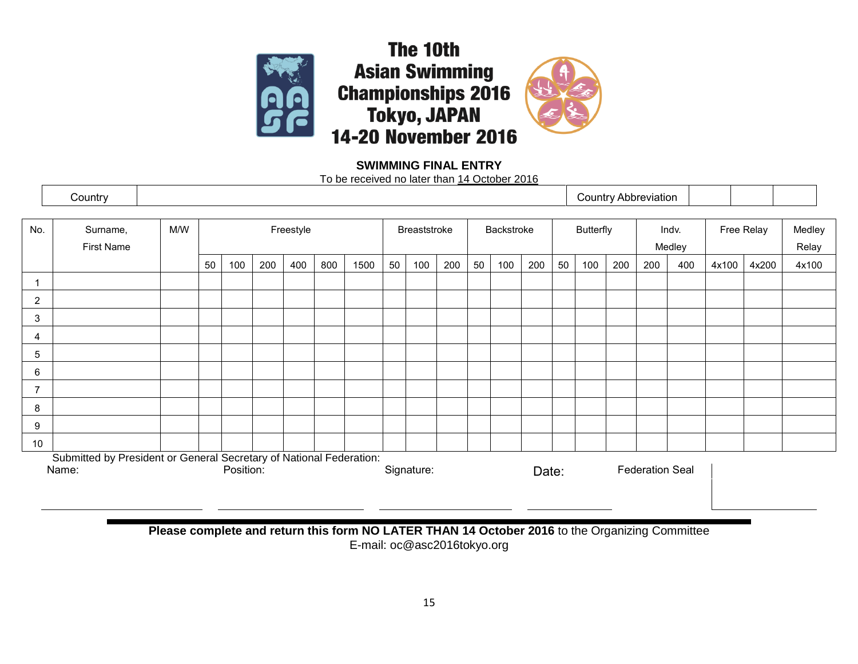





# **SWIMMING FINAL ENTRY**

To be received no later than 14 October 2016

|                 | Country                                                                      |     |    |           |     |     |                            |      |    |                  |     |                 |     |            |    |                 |     | <b>Country Abbreviation</b> |     |       |       |       |
|-----------------|------------------------------------------------------------------------------|-----|----|-----------|-----|-----|----------------------------|------|----|------------------|-----|-----------------|-----|------------|----|-----------------|-----|-----------------------------|-----|-------|-------|-------|
| No.             | Surname,<br>First Name                                                       | M/W |    | Freestyle |     |     | Backstroke<br>Breaststroke |      |    | <b>Butterfly</b> |     | Indv.<br>Medley |     | Free Relay |    | Medley<br>Relay |     |                             |     |       |       |       |
|                 |                                                                              |     | 50 | 100       | 200 | 400 | 800                        | 1500 | 50 | 100              | 200 | 50              | 100 | 200        | 50 | 100             | 200 | 200                         | 400 | 4x100 | 4x200 | 4x100 |
|                 |                                                                              |     |    |           |     |     |                            |      |    |                  |     |                 |     |            |    |                 |     |                             |     |       |       |       |
| $\overline{2}$  |                                                                              |     |    |           |     |     |                            |      |    |                  |     |                 |     |            |    |                 |     |                             |     |       |       |       |
| $\mathbf{3}$    |                                                                              |     |    |           |     |     |                            |      |    |                  |     |                 |     |            |    |                 |     |                             |     |       |       |       |
| 4               |                                                                              |     |    |           |     |     |                            |      |    |                  |     |                 |     |            |    |                 |     |                             |     |       |       |       |
| $5\phantom{.0}$ |                                                                              |     |    |           |     |     |                            |      |    |                  |     |                 |     |            |    |                 |     |                             |     |       |       |       |
| 6               |                                                                              |     |    |           |     |     |                            |      |    |                  |     |                 |     |            |    |                 |     |                             |     |       |       |       |
| $\overline{7}$  |                                                                              |     |    |           |     |     |                            |      |    |                  |     |                 |     |            |    |                 |     |                             |     |       |       |       |
| 8               |                                                                              |     |    |           |     |     |                            |      |    |                  |     |                 |     |            |    |                 |     |                             |     |       |       |       |
| 9               |                                                                              |     |    |           |     |     |                            |      |    |                  |     |                 |     |            |    |                 |     |                             |     |       |       |       |
| 10              |                                                                              |     |    |           |     |     |                            |      |    |                  |     |                 |     |            |    |                 |     |                             |     |       |       |       |
|                 | Submitted by President or General Secretary of National Federation:<br>Name: |     |    | Position: |     |     |                            |      |    | Signature:       |     |                 |     | Date:      |    |                 |     | <b>Federation Seal</b>      |     |       |       |       |

**Please complete and return this form NO LATER THAN 14 October 2016** to the Organizing Committee E-mail: oc@asc2016tokyo.org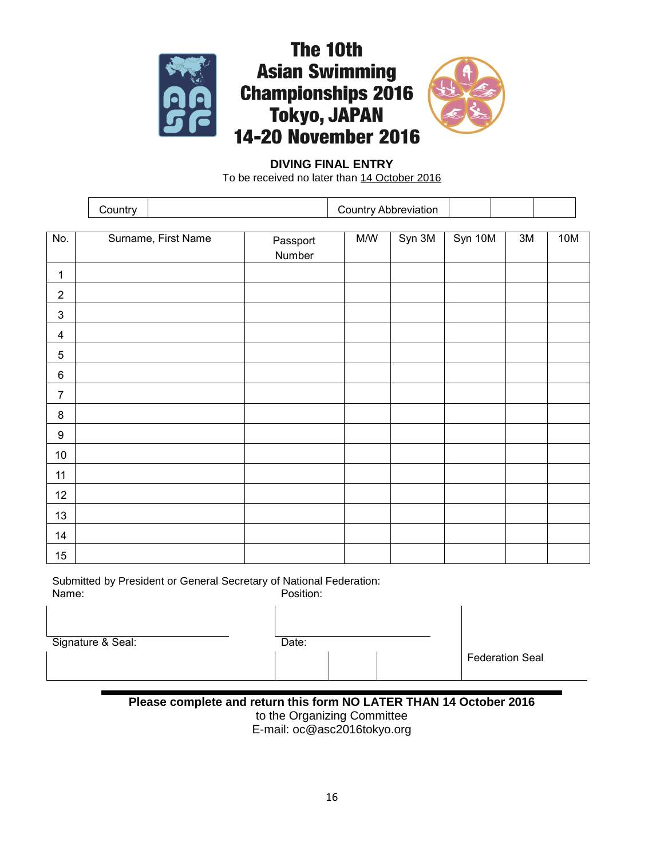



# **DIVING FINAL ENTRY**

To be received no later than 14 October 2016

|                  | Country |                     |                    | <b>Country Abbreviation</b> |      |     |  |
|------------------|---------|---------------------|--------------------|-----------------------------|------|-----|--|
| No.              |         | Surname, First Name | Passport<br>Number | Syn 10M                     | $3M$ | 10M |  |
| $\mathbf{1}$     |         |                     |                    |                             |      |     |  |
| $\overline{2}$   |         |                     |                    |                             |      |     |  |
| $\mathfrak{S}$   |         |                     |                    |                             |      |     |  |
| $\overline{4}$   |         |                     |                    |                             |      |     |  |
| $\overline{5}$   |         |                     |                    |                             |      |     |  |
| $\,6$            |         |                     |                    |                             |      |     |  |
| $\overline{7}$   |         |                     |                    |                             |      |     |  |
| $\bf 8$          |         |                     |                    |                             |      |     |  |
| $\boldsymbol{9}$ |         |                     |                    |                             |      |     |  |
| $10\,$           |         |                     |                    |                             |      |     |  |
| 11               |         |                     |                    |                             |      |     |  |
| 12               |         |                     |                    |                             |      |     |  |
| 13               |         |                     |                    |                             |      |     |  |
| 14               |         |                     |                    |                             |      |     |  |
| $15\,$           |         |                     |                    |                             |      |     |  |

Submitted by President or General Secretary of National Federation: Position:

Signature & Seal:

| Date: |  |
|-------|--|
|       |  |
|       |  |

Federation Seal

**Please complete and return this form NO LATER THAN 14 October 2016** to the Organizing Committee E-mail: oc@asc2016tokyo.org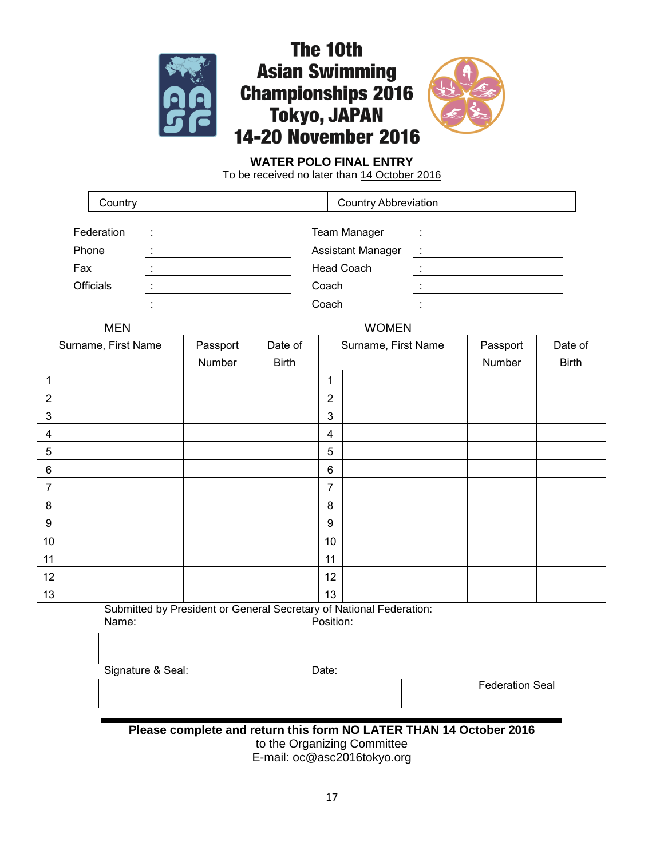



# **WATER POLO FINAL ENTRY**

To be received no later than 14 October 2016

|     | Country          |                      | <b>Country Abbreviation</b> |  |  |  |  |  |  |
|-----|------------------|----------------------|-----------------------------|--|--|--|--|--|--|
|     |                  |                      |                             |  |  |  |  |  |  |
|     | Federation       | $\bullet$<br>$\cdot$ | <b>Team Manager</b>         |  |  |  |  |  |  |
|     | Phone            |                      | <b>Assistant Manager</b>    |  |  |  |  |  |  |
| Fax |                  |                      | <b>Head Coach</b>           |  |  |  |  |  |  |
|     | <b>Officials</b> |                      | Coach                       |  |  |  |  |  |  |
|     |                  |                      | Coach                       |  |  |  |  |  |  |

# MEN WOMEN

| Surname, First Name | Passport | Date of      | Surname, First Name |  | Passport | Date of      |
|---------------------|----------|--------------|---------------------|--|----------|--------------|
|                     | Number   | <b>Birth</b> |                     |  | Number   | <b>Birth</b> |
| 1                   |          |              | 1                   |  |          |              |
| $\overline{2}$      |          |              | $\overline{2}$      |  |          |              |
| $\mathfrak{S}$      |          |              | $\mathfrak{3}$      |  |          |              |
| $\overline{4}$      |          |              | 4                   |  |          |              |
| 5                   |          |              | $\sqrt{5}$          |  |          |              |
| 6                   |          |              | $6\phantom{1}$      |  |          |              |
| $\overline{7}$      |          |              | $\overline{7}$      |  |          |              |
| 8                   |          |              | $\bf 8$             |  |          |              |
| 9                   |          |              | 9                   |  |          |              |
| 10                  |          |              | 10                  |  |          |              |
| 11                  |          |              | 11                  |  |          |              |
| 12                  |          |              | 12                  |  |          |              |
| 13                  |          |              | 13                  |  |          |              |

Submitted by President or General Secretary of National Federation: Name: Position:

| 1991116.          | . ו טאונט ו |                        |  |  |
|-------------------|-------------|------------------------|--|--|
|                   |             |                        |  |  |
|                   |             |                        |  |  |
| Signature & Seal: | Date:       |                        |  |  |
|                   |             | <b>Federation Seal</b> |  |  |
|                   |             |                        |  |  |

**Please complete and return this form NO LATER THAN 14 October 2016** to the Organizing Committee

E-mail: oc@asc2016tokyo.org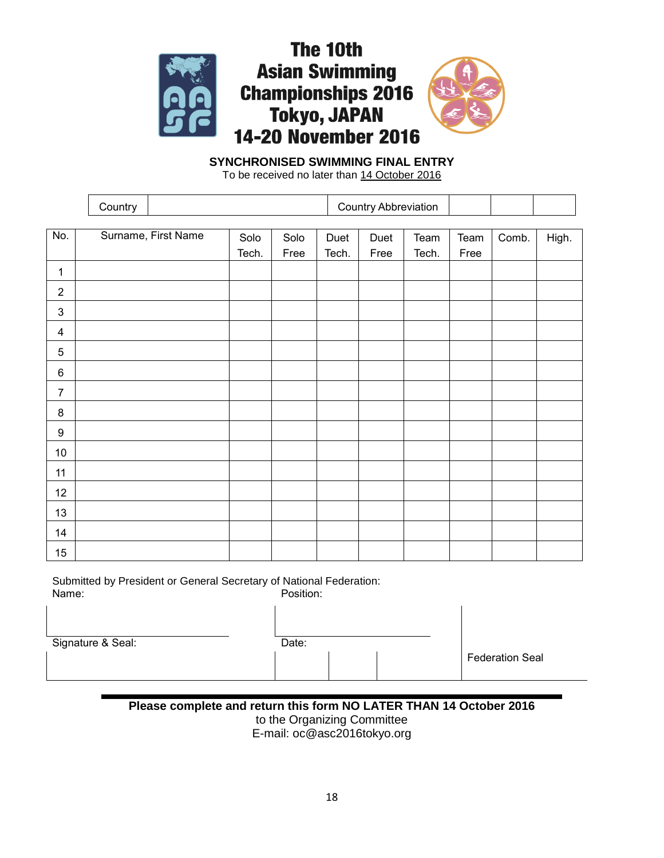



# **SYNCHRONISED SWIMMING FINAL ENTRY**

To be received no later than 14 October 2016

|                         | Country |                     |       |      |       | <b>Country Abbreviation</b> |       |      |       |       |
|-------------------------|---------|---------------------|-------|------|-------|-----------------------------|-------|------|-------|-------|
|                         |         |                     |       |      |       |                             |       |      |       |       |
| No.                     |         | Surname, First Name | Solo  | Solo | Duet  | Duet                        | Team  | Team | Comb. | High. |
|                         |         |                     | Tech. | Free | Tech. | Free                        | Tech. | Free |       |       |
| 1                       |         |                     |       |      |       |                             |       |      |       |       |
| $\sqrt{2}$              |         |                     |       |      |       |                             |       |      |       |       |
| $\mathsf 3$             |         |                     |       |      |       |                             |       |      |       |       |
| $\overline{\mathbf{4}}$ |         |                     |       |      |       |                             |       |      |       |       |
| 5                       |         |                     |       |      |       |                             |       |      |       |       |
| $\,6$                   |         |                     |       |      |       |                             |       |      |       |       |
| $\overline{7}$          |         |                     |       |      |       |                             |       |      |       |       |
| $\bf 8$                 |         |                     |       |      |       |                             |       |      |       |       |
| $\boldsymbol{9}$        |         |                     |       |      |       |                             |       |      |       |       |
| $10\,$                  |         |                     |       |      |       |                             |       |      |       |       |
| 11                      |         |                     |       |      |       |                             |       |      |       |       |
| 12                      |         |                     |       |      |       |                             |       |      |       |       |
| 13                      |         |                     |       |      |       |                             |       |      |       |       |
| 14                      |         |                     |       |      |       |                             |       |      |       |       |
| 15                      |         |                     |       |      |       |                             |       |      |       |       |

Submitted by President or General Secretary of National Federation: Position:

Signature & Seal: Date: Date: Date: Date: Date: Date: Date: Date: Date: Date: Date: Date: Date: Date: Date: Da

| ite: |  |  |
|------|--|--|
|      |  |  |
|      |  |  |

Federation Seal

**Please complete and return this form NO LATER THAN 14 October 2016** to the Organizing Committee E-mail: oc@asc2016tokyo.org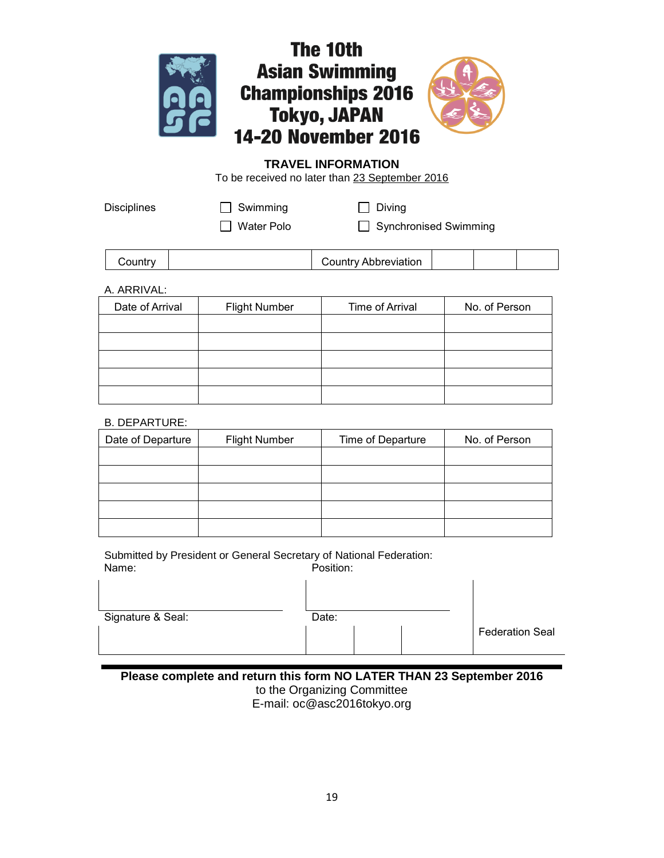



 $\overline{1}$ 

# **TRAVEL INFORMATION**

To be received no later than 23 September 2016

Disciplines **Disciplines Disciplines Diving** Swimming **Diving** 

□ Water Polo □ Synchronised Swimming

| Country |  |
|---------|--|
|         |  |

Country Country Abbreviation

# A. ARRIVAL:

| Date of Arrival | <b>Flight Number</b> | Time of Arrival | No. of Person |
|-----------------|----------------------|-----------------|---------------|
|                 |                      |                 |               |
|                 |                      |                 |               |
|                 |                      |                 |               |
|                 |                      |                 |               |
|                 |                      |                 |               |

# B. DEPARTURE:

 $\overline{1}$ 

| Date of Departure | <b>Flight Number</b> | Time of Departure | No. of Person |
|-------------------|----------------------|-------------------|---------------|
|                   |                      |                   |               |
|                   |                      |                   |               |
|                   |                      |                   |               |
|                   |                      |                   |               |
|                   |                      |                   |               |

Submitted by President or General Secretary of National Federation: Name: Position:

| Signature & Seal: | Date: |  |  |                        |  |
|-------------------|-------|--|--|------------------------|--|
|                   |       |  |  | <b>Federation Seal</b> |  |

 $\mathbf{I}$ 

**Please complete and return this form NO LATER THAN 23 September 2016**

to the Organizing Committee E-mail: oc@asc2016tokyo.org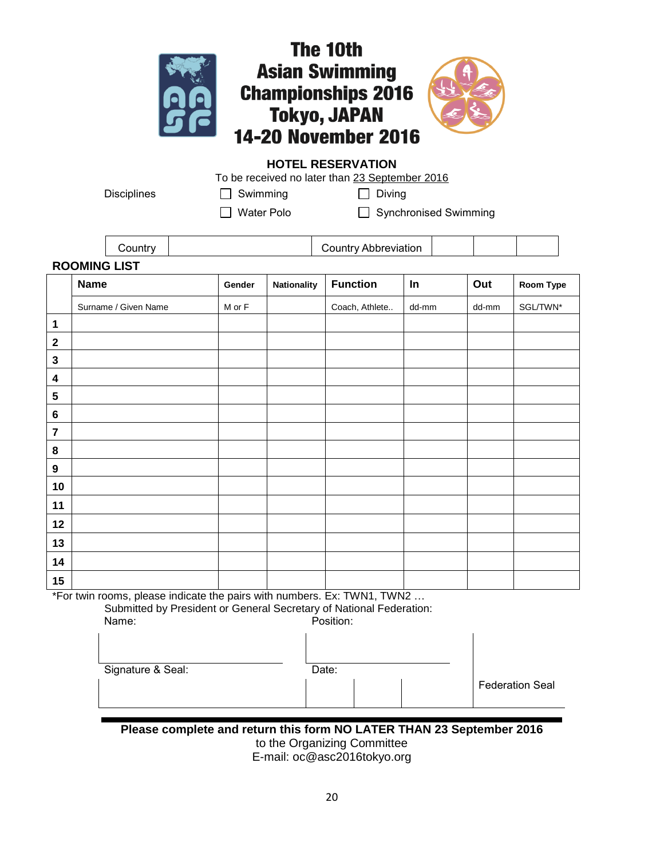

# **HOTEL RESERVATION**

To be received no later than 23 September 2016

Disciplines **Disciplines Disciplines Diving** Swimming **Diving** 

□ Water Polo □ Synchronised Swimming

|                     |  |  | Country Abbreviation |  |  |  |  |  |  |
|---------------------|--|--|----------------------|--|--|--|--|--|--|
| <b>ROOMING LIST</b> |  |  |                      |  |  |  |  |  |  |

|                         | <b>Name</b>          | Gender     | <b>Nationality</b> | <b>Function</b> | In    | Out   | Room Type |
|-------------------------|----------------------|------------|--------------------|-----------------|-------|-------|-----------|
|                         | Surname / Given Name | $M$ or $F$ |                    | Coach, Athlete  | dd-mm | dd-mm | SGL/TWN*  |
| 1                       |                      |            |                    |                 |       |       |           |
| $\mathbf 2$             |                      |            |                    |                 |       |       |           |
| $\mathbf 3$             |                      |            |                    |                 |       |       |           |
| $\overline{\mathbf{4}}$ |                      |            |                    |                 |       |       |           |
| 5                       |                      |            |                    |                 |       |       |           |
| 6                       |                      |            |                    |                 |       |       |           |
| $\overline{7}$          |                      |            |                    |                 |       |       |           |
| 8                       |                      |            |                    |                 |       |       |           |
| 9                       |                      |            |                    |                 |       |       |           |
| 10                      |                      |            |                    |                 |       |       |           |
| 11                      |                      |            |                    |                 |       |       |           |
| 12                      |                      |            |                    |                 |       |       |           |
| 13                      |                      |            |                    |                 |       |       |           |
| 14                      |                      |            |                    |                 |       |       |           |
| 15                      |                      |            |                    |                 |       |       |           |

\*For twin rooms, please indicate the pairs with numbers. Ex: TWN1, TWN2 …

Submitted by President or General Secretary of National Federation:

| Name:             | Position: |                        |  |  |  |  |
|-------------------|-----------|------------------------|--|--|--|--|
| Signature & Seal: | Date:     |                        |  |  |  |  |
|                   |           | <b>Federation Seal</b> |  |  |  |  |

**Please complete and return this form NO LATER THAN 23 September 2016** to the Organizing Committee E-mail: oc@asc2016tokyo.org